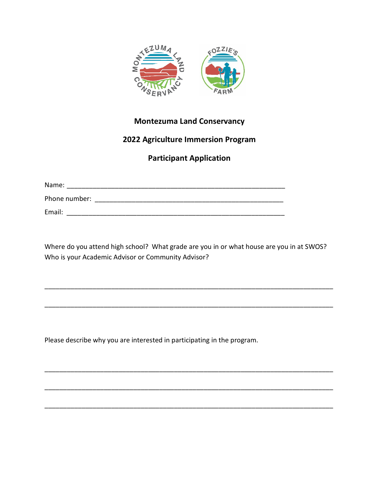

## **Montezuma Land Conservancy**

## **2022 Agriculture Immersion Program**

## **Participant Application**

Name: \_\_\_\_\_\_\_\_\_\_\_\_\_\_\_\_\_\_\_\_\_\_\_\_\_\_\_\_\_\_\_\_\_\_\_\_\_\_\_\_\_\_\_\_\_\_\_\_\_\_\_\_\_\_\_\_\_\_\_

Phone number: \_\_\_\_\_\_\_\_\_\_\_\_\_\_\_\_\_\_\_\_\_\_\_\_\_\_\_\_\_\_\_\_\_\_\_\_\_\_\_\_\_\_\_\_\_\_\_\_\_\_\_

Email: \_\_\_\_\_\_\_\_\_\_\_\_\_\_\_\_\_\_\_\_\_\_\_\_\_\_\_\_\_\_\_\_\_\_\_\_\_\_\_\_\_\_\_\_\_\_\_\_\_\_\_\_\_\_\_\_\_\_\_

Where do you attend high school? What grade are you in or what house are you in at SWOS? Who is your Academic Advisor or Community Advisor?

\_\_\_\_\_\_\_\_\_\_\_\_\_\_\_\_\_\_\_\_\_\_\_\_\_\_\_\_\_\_\_\_\_\_\_\_\_\_\_\_\_\_\_\_\_\_\_\_\_\_\_\_\_\_\_\_\_\_\_\_\_\_\_\_\_\_\_\_\_\_\_\_\_\_\_\_\_\_

\_\_\_\_\_\_\_\_\_\_\_\_\_\_\_\_\_\_\_\_\_\_\_\_\_\_\_\_\_\_\_\_\_\_\_\_\_\_\_\_\_\_\_\_\_\_\_\_\_\_\_\_\_\_\_\_\_\_\_\_\_\_\_\_\_\_\_\_\_\_\_\_\_\_\_\_\_\_

\_\_\_\_\_\_\_\_\_\_\_\_\_\_\_\_\_\_\_\_\_\_\_\_\_\_\_\_\_\_\_\_\_\_\_\_\_\_\_\_\_\_\_\_\_\_\_\_\_\_\_\_\_\_\_\_\_\_\_\_\_\_\_\_\_\_\_\_\_\_\_\_\_\_\_\_\_\_

\_\_\_\_\_\_\_\_\_\_\_\_\_\_\_\_\_\_\_\_\_\_\_\_\_\_\_\_\_\_\_\_\_\_\_\_\_\_\_\_\_\_\_\_\_\_\_\_\_\_\_\_\_\_\_\_\_\_\_\_\_\_\_\_\_\_\_\_\_\_\_\_\_\_\_\_\_\_

\_\_\_\_\_\_\_\_\_\_\_\_\_\_\_\_\_\_\_\_\_\_\_\_\_\_\_\_\_\_\_\_\_\_\_\_\_\_\_\_\_\_\_\_\_\_\_\_\_\_\_\_\_\_\_\_\_\_\_\_\_\_\_\_\_\_\_\_\_\_\_\_\_\_\_\_\_\_

Please describe why you are interested in participating in the program.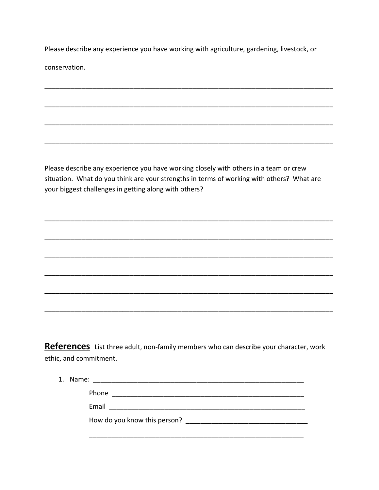Please describe any experience you have working with agriculture, gardening, livestock, or conservation.

Please describe any experience you have working closely with others in a team or crew situation. What do you think are your strengths in terms of working with others? What are your biggest challenges in getting along with others?

References List three adult, non-family members who can describe your character, work ethic, and commitment.

| 1. Name: |                              |
|----------|------------------------------|
|          | Phone                        |
|          | Email                        |
|          | How do you know this person? |